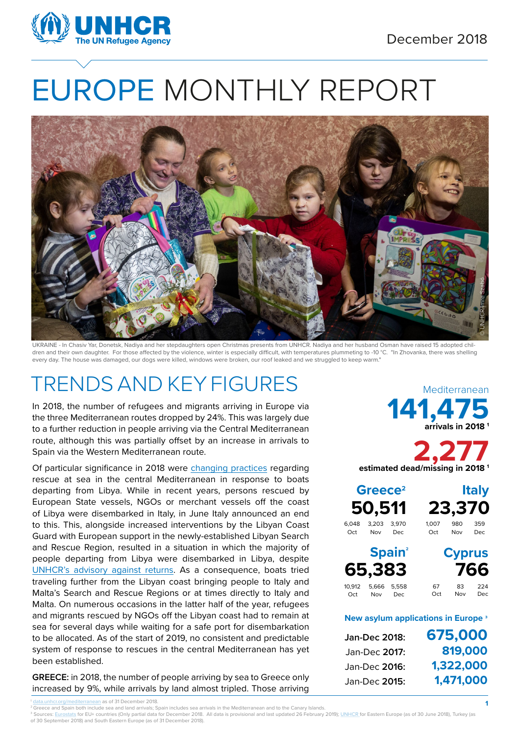

# EUROPE MONTHLY REPORT



UKRAINE - In Chasiv Yar, Donetsk, Nadiya and her stepdaughters open Christmas presents from UNHCR. Nadiya and her husband Osman have raised 15 adopted children and their own daughter. For those affected by the violence, winter is especially difficult, with temperatures plummeting to -10 °C. "In Zhovanka, there was shelling every day. The house was damaged, our dogs were killed, windows were broken, our roof leaked and we struggled to keep warm."

#### TRENDS AND KEY FIGURES

In 2018, the number of refugees and migrants arriving in Europe via the three Mediterranean routes dropped by 24%. This was largely due to a further reduction in people arriving via the Central Mediterranean route, although this was partially offset by an increase in arrivals to Spain via the Western Mediterranean route.

Of particular significance in 2018 were [changing practices](https://data2.unhcr.org/en/documents/download/67712) regarding rescue at sea in the central Mediterranean in response to boats departing from Libya. While in recent years, persons rescued by European State vessels, NGOs or merchant vessels off the coast of Libya were disembarked in Italy, in June Italy announced an end to this. This, alongside increased interventions by the Libyan Coast Guard with European support in the newly-established Libyan Search and Rescue Region, resulted in a situation in which the majority of people departing from Libya were disembarked in Libya, despite [UNHCR's advisory against returns.](https://www.refworld.org/docid/5b8d02314.html) As a consequence, boats tried traveling further from the Libyan coast bringing people to Italy and Malta's Search and Rescue Regions or at times directly to Italy and Malta. On numerous occasions in the latter half of the year, refugees and migrants rescued by NGOs off the Libyan coast had to remain at sea for several days while waiting for a safe port for disembarkation to be allocated. As of the start of 2019, no consistent and predictable system of response to rescues in the central Mediterranean has yet been established.

**GREECE:** in 2018, the number of people arriving by sea to Greece only increased by 9%, while arrivals by land almost tripled. Those arriving **141,475 arrivals in 2018 1** Mediterranean

**2,277 estimated dead/missing in 2018 1**

**50,511 23,370 Greece2 Italy**

6,048 3,203 3,970<br>Oct Nov Dec Nov Dec

Oct Nov Dec

1,007 980 359<br>Oct Nov Dec  $Now$ 

**Cyprus** 

**1**

**65,383 766** Spain<sup>2</sup> 10,912 5,666 5,558

67 83 224 Oct Nov Dec

#### **New asylum applications in Europe ³**

**675,000 819,000 1,322,000 1,471,000 Jan-Dec 2018:** Jan-Dec **2017:**  Jan-Dec **2016:**  Jan-Dec **2015:** 

<sup>2</sup> Greece and Spain both include sea and land arrivals; Spain includes sea arrivals in the Mediterranean and to the Canary Islands

<sup>3</sup> Sources: Eurostats for EU+ countries (Only partial data for December 2018. All data is provisional and last updated 26 February 2019); <u>UNHCR f</u>or Eastern Europe (as of 30 June 2018), Turkey (as of 30 September 2018) and South Eastern Europe (as of 31 December 2018).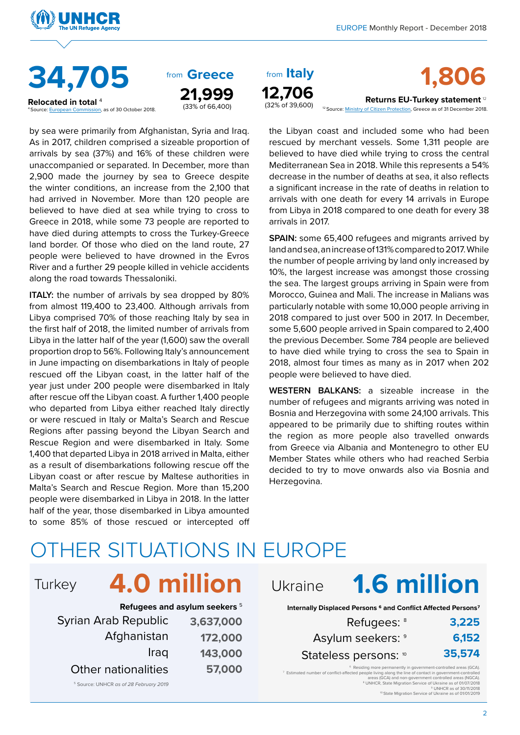



**Relocated in total** <sup>4</sup>  $\overline{5}$  as of 30 October 2018. from **Greece** 21,999

by sea were primarily from Afghanistan, Syria and Iraq. As in 2017, children comprised a sizeable proportion of arrivals by sea (37%) and 16% of these children were unaccompanied or separated. In December, more than 2,900 made the journey by sea to Greece despite the winter conditions, an increase from the 2,100 that had arrived in November. More than 120 people are believed to have died at sea while trying to cross to Greece in 2018, while some 73 people are reported to have died during attempts to cross the Turkey-Greece land border. Of those who died on the land route, 27 people were believed to have drowned in the Evros River and a further 29 people killed in vehicle accidents along the road towards Thessaloniki.

**ITALY:** the number of arrivals by sea dropped by 80% from almost 119,400 to 23,400. Although arrivals from Libya comprised 70% of those reaching Italy by sea in the first half of 2018, the limited number of arrivals from Libya in the latter half of the year (1,600) saw the overall proportion drop to 56%. Following Italy's announcement in June impacting on disembarkations in Italy of people rescued off the Libyan coast, in the latter half of the year just under 200 people were disembarked in Italy after rescue off the Libyan coast. A further 1,400 people who departed from Libya either reached Italy directly or were rescued in Italy or Malta's Search and Rescue Regions after passing beyond the Libyan Search and Rescue Region and were disembarked in Italy. Some 1,400 that departed Libya in 2018 arrived in Malta, either as a result of disembarkations following rescue off the Libyan coast or after rescue by Maltese authorities in Malta's Search and Rescue Region. More than 15,200 people were disembarked in Libya in 2018. In the latter half of the year, those disembarked in Libya amounted to some 85% of those rescued or intercepted off from Italy

from from **1,806**

**Returns EU-Turkey statement** <sup>12</sup> [12 Source: Ministry of Citizen Protection, Greece as of 31 December 2018.](http://data2.unhcr.org/en/situations/mediterranean)

the Libyan coast and included some who had been rescued by merchant vessels. Some 1,311 people are believed to have died while trying to cross the central Mediterranean Sea in 2018. While this represents a 54% decrease in the number of deaths at sea, it also reflects a significant increase in the rate of deaths in relation to arrivals with one death for every 14 arrivals in Europe from Libya in 2018 compared to one death for every 38 arrivals in 2017.

**SPAIN:** some 65,400 refugees and migrants arrived by land and sea, an increase of 131% compared to 2017. While the number of people arriving by land only increased by 10%, the largest increase was amongst those crossing the sea. The largest groups arriving in Spain were from Morocco, Guinea and Mali. The increase in Malians was particularly notable with some 10,000 people arriving in 2018 compared to just over 500 in 2017. In December, some 5,600 people arrived in Spain compared to 2,400 the previous December. Some 784 people are believed to have died while trying to cross the sea to Spain in 2018, almost four times as many as in 2017 when 202 people were believed to have died.

**WESTERN BALKANS:** a sizeable increase in the number of refugees and migrants arriving was noted in Bosnia and Herzegovina with some 24,100 arrivals. This appeared to be primarily due to shifting routes within the region as more people also travelled onwards from Greece via Albania and Montenegro to other EU Member States while others who had reached Serbia decided to try to move onwards also via Bosnia and Herzegovina.

#### OTHER SITUATIONS IN EUROPE

# Turkey **4.0 million** Ukraine

|                            | Refugees and asylum seekers 5 |
|----------------------------|-------------------------------|
| Syrian Arab Republic       | 3,637,000                     |
| Afghanistan                | 172,000                       |
| Iraq                       | 143,000                       |
| <b>Other nationalities</b> | 57,000                        |
|                            |                               |

5 Source: UNHCR *as of 28 February 2019*

# **1.6 million**

**Internally Displaced Persons 6 and Conflict Affected Persons7**

| 3,225  | Refugees: <sup>8</sup> |
|--------|------------------------|
| 6,152  | Asylum seekers: 9      |
| 35,574 | Stateless persons: 10  |

<sup>6</sup> Residing more permanently in government-controlled areas (GCA). 7 Estimated number of conflict-affected people living along the line of contact in government-controlled areas (GCA) and non-government controlled areas (NGCA). 8 UNHCR, State Migration Service of Ukraine as of 01/07/2018 9 UNHCR as of 30/11/2018 10 State Migration Service of Ukraine as of 01/01/2019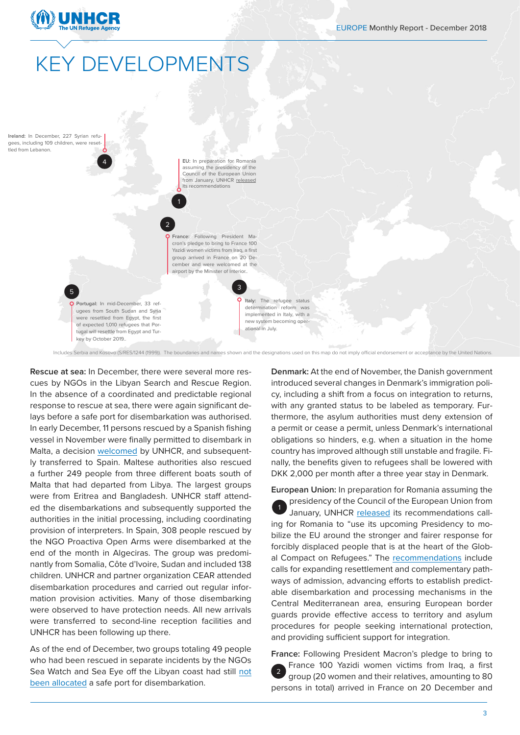

### **KEY DEVELOPMENTS**

**Ireland:** In December, 227 Syrian refugees, including 109 children, were resettled from Lebanon.

5

**EU:** In preparation for Romania assuming the presidency of the Council of the European Union from January, UNHCR [released](https://www.unhcr.org/news/press/2018/12/5c1ca0ad4/unhcr-calls-romanian-eu-presidency-unite-eu-countries-stronger-fairer-response.html) its recommendations

1

2

**France:** Following President Macron's pledge to bring to France 100 Yazidi women victims from Iraq, a first group arrived in France on 20 December and were welcomed at the airport by the Minister of Interior..

3

**Portugal:** In mid-December, 33 refugees from South Sudan and Syria were resettled from Egypt, the first of expected 1,010 refugees that Portugal will resettle from Egypt and Turkey by October 2019..

4

**Italy:** The refugee status determination reform was implemented in Italy, with a new system becoming operational in July.

Includes Serbia and Kosovo (S/RES/1244 (1999)). The boundaries and names shown and the designations used on this map do not imply official endorsement or acceptance by the United Nations.

**Rescue at sea:** In December, there were several more rescues by NGOs in the Libyan Search and Rescue Region. In the absence of a coordinated and predictable regional response to rescue at sea, there were again significant delays before a safe port for disembarkation was authorised. In early December, 11 persons rescued by a Spanish fishing vessel in November were finally permitted to disembark in Malta, a decision [welcomed](https://www.unhcr.org/mt/4076-press-comment-unhcr-welcomes-decision-to-allow-disembarkation-on-humanitarian-grounds.html) by UNHCR, and subsequently transferred to Spain. Maltese authorities also rescued a further 249 people from three different boats south of Malta that had departed from Libya. The largest groups were from Eritrea and Bangladesh. UNHCR staff attended the disembarkations and subsequently supported the authorities in the initial processing, including coordinating provision of interpreters. In Spain, 308 people rescued by the NGO Proactiva Open Arms were disembarked at the end of the month in Algeciras. The group was predominantly from Somalia, Côte d'Ivoire, Sudan and included 138 children. UNHCR and partner organization CEAR attended disembarkation procedures and carried out regular information provision activities. Many of those disembarking were observed to have protection needs. All new arrivals were transferred to second-line reception facilities and UNHCR has been following up there.

As of the end of December, two groups totaling 49 people who had been rescued in separate incidents by the NGOs Sea Watch and Sea Eye off the Libyan coast had still [not](https://www.unhcr.org/news/press/2018/12/5c2a0e364/day-2018-unhcr-urges-rapid-solution-refugees-stranded-mediterranean-sea.html)  [been allocated](https://www.unhcr.org/news/press/2018/12/5c2a0e364/day-2018-unhcr-urges-rapid-solution-refugees-stranded-mediterranean-sea.html) a safe port for disembarkation.

**Denmark:** At the end of November, the Danish government introduced several changes in Denmark's immigration policy, including a shift from a focus on integration to returns, with any granted status to be labeled as temporary. Furthermore, the asylum authorities must deny extension of a permit or cease a permit, unless Denmark's international obligations so hinders, e.g. when a situation in the home country has improved although still unstable and fragile. Finally, the benefits given to refugees shall be lowered with DKK 2,000 per month after a three year stay in Denmark.

**European Union:** In preparation for Romania assuming the presidency of the Council of the European Union from January, UNHCR [released](https://www.unhcr.org/news/press/2018/12/5c1ca0ad4/unhcr-calls-romanian-eu-presidency-unite-eu-countries-stronger-fairer-response.html) its recommendations calling for Romania to "use its upcoming Presidency to mobilize the EU around the stronger and fairer response for forcibly displaced people that is at the heart of the Global Compact on Refugees." The [recommendations](https://www.refworld.org/docid/5c1b68684.html) include calls for expanding resettlement and complementary pathways of admission, advancing efforts to establish predictable disembarkation and processing mechanisms in the Central Mediterranean area, ensuring European border guards provide effective access to territory and asylum procedures for people seeking international protection, and providing sufficient support for integration. 1

**France:** Following President Macron's pledge to bring to France 100 Yazidi women victims from Iraq, a first group (20 women and their relatives, amounting to 80 persons in total) arrived in France on 20 December and 2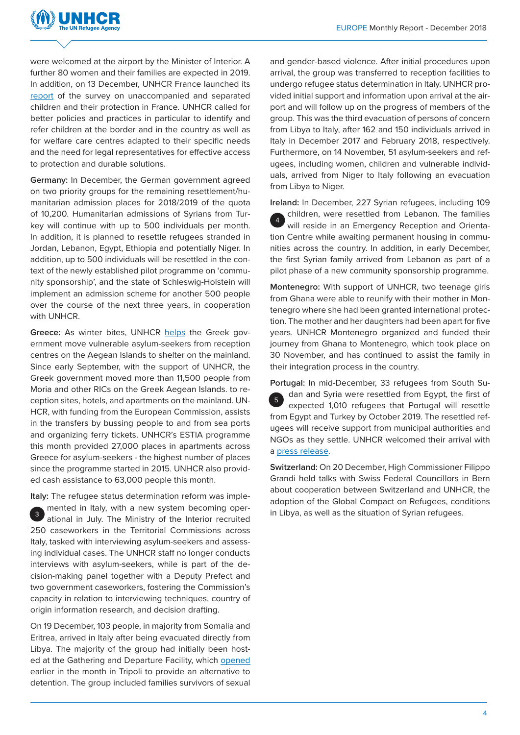

were welcomed at the airport by the Minister of Interior. A further 80 women and their families are expected in 2019. In addition, on 13 December, UNHCR France launched its [report](https://www.unhcr.org/fr-fr/news/stories/2018/12/5c17b4354/dans-une-nouvelle-etude-cest-bien-quon-nous-ecoute-le-hcr-appelle-a-une.html) of the survey on unaccompanied and separated children and their protection in France. UNHCR called for better policies and practices in particular to identify and refer children at the border and in the country as well as for welfare care centres adapted to their specific needs and the need for legal representatives for effective access to protection and durable solutions.

**Germany:** In December, the German government agreed on two priority groups for the remaining resettlement/humanitarian admission places for 2018/2019 of the quota of 10,200. Humanitarian admissions of Syrians from Turkey will continue with up to 500 individuals per month. In addition, it is planned to resettle refugees stranded in Jordan, Lebanon, Egypt, Ethiopia and potentially Niger. In addition, up to 500 individuals will be resettled in the context of the newly established pilot programme on 'community sponsorship', and the state of Schleswig-Holstein will implement an admission scheme for another 500 people over the course of the next three years, in cooperation with UNHCR.

**Greece:** As winter bites, UNHCR [helps](https://www.unhcr.org/news/latest/2018/12/5c24d1524/thousands-asylum-seekers-moved-greek-islands.html) the Greek government move vulnerable asylum-seekers from reception centres on the Aegean Islands to shelter on the mainland. Since early September, with the support of UNHCR, the Greek government moved more than 11,500 people from Moria and other RICs on the Greek Aegean Islands. to reception sites, hotels, and apartments on the mainland. UN-HCR, with funding from the European Commission, assists in the transfers by bussing people to and from sea ports and organizing ferry tickets. UNHCR's ESTIA programme this month provided 27,000 places in apartments across Greece for asylum-seekers - the highest number of places since the programme started in 2015. UNHCR also provided cash assistance to 63,000 people this month.

**Italy:** The refugee status determination reform was implemented in Italy, with a new system becoming operational in July. The Ministry of the Interior recruited 250 caseworkers in the Territorial Commissions across Italy, tasked with interviewing asylum-seekers and assessing individual cases. The UNHCR staff no longer conducts interviews with asylum-seekers, while is part of the decision-making panel together with a Deputy Prefect and two government caseworkers, fostering the Commission's capacity in relation to interviewing techniques, country of origin information research, and decision drafting. 3

On 19 December, 103 people, in majority from Somalia and Eritrea, arrived in Italy after being evacuated directly from Libya. The majority of the group had initially been hosted at the Gathering and Departure Facility, which [opened](https://www.unhcr.org/news/press/2018/12/5c09033a4/first-group-refugees-evacuated-new-departure-facility-libya.html) earlier in the month in Tripoli to provide an alternative to detention. The group included families survivors of sexual

and gender-based violence. After initial procedures upon arrival, the group was transferred to reception facilities to undergo refugee status determination in Italy. UNHCR provided initial support and information upon arrival at the airport and will follow up on the progress of members of the group. This was the third evacuation of persons of concern from Libya to Italy, after 162 and 150 individuals arrived in Italy in December 2017 and February 2018, respectively. Furthermore, on 14 November, 51 asylum-seekers and refugees, including women, children and vulnerable individuals, arrived from Niger to Italy following an evacuation from Libya to Niger.

**Ireland:** In December, 227 Syrian refugees, including 109 children, were resettled from Lebanon. The families will reside in an Emergency Reception and Orientation Centre while awaiting permanent housing in communities across the country. In addition, in early December, the first Syrian family arrived from Lebanon as part of a pilot phase of a new community sponsorship programme. 4

**Montenegro:** With support of UNHCR, two teenage girls from Ghana were able to reunify with their mother in Montenegro where she had been granted international protection. The mother and her daughters had been apart for five years. UNHCR Montenegro organized and funded their journey from Ghana to Montenegro, which took place on 30 November, and has continued to assist the family in their integration process in the country.

**Portugal:** In mid-December, 33 refugees from South Sudan and Syria were resettled from Egypt, the first of expected 1,010 refugees that Portugal will resettle from Egypt and Turkey by October 2019. The resettled refugees will receive support from municipal authorities and NGOs as they settle. UNHCR welcomed their arrival with a [press release.](https://www.unhcr.org/news/press/2018/12/5c1a0d624/first-resettled-refugees-arrive-portugal-under-new-scheme.html) 5

**Switzerland:** On 20 December, High Commissioner Filippo Grandi held talks with Swiss Federal Councillors in Bern about cooperation between Switzerland and UNHCR, the adoption of the Global Compact on Refugees, conditions in Libya, as well as the situation of Syrian refugees.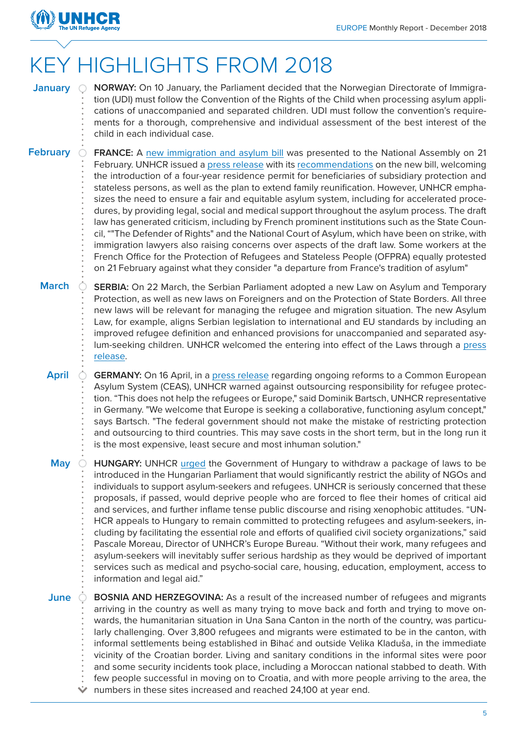

## KEY HIGHLIGHTS FROM 2018

- **NORWAY:** On 10 January, the Parliament decided that the Norwegian Directorate of Immigra-**January** tion (UDI) must follow the Convention of the Rights of the Child when processing asylum applications of unaccompanied and separated children. UDI must follow the convention's requirements for a thorough, comprehensive and individual assessment of the best interest of the child in each individual case.
- **FRANCE:** A [new immigration and asylum bill](https://www.ladocumentationfrancaise.fr/rapports-publics/184000099/index.shtml#book_sommaire) was presented to the National Assembly on 21 February. UNHCR issued a [press release](https://www.unhcr.org/fr-fr/news/press/2018/3/5a9ff2884/france-le-hcr-salue-plusieurs-mesures-du-projet-de-loi-sur-lasile-mais.html) with its [recommendations](https://www.refworld.org/docid/5a9ecfb74.html) on the new bill, welcoming the introduction of a four-year residence permit for beneficiaries of subsidiary protection and stateless persons, as well as the plan to extend family reunification. However, UNHCR emphasizes the need to ensure a fair and equitable asylum system, including for accelerated procedures, by providing legal, social and medical support throughout the asylum process. The draft law has generated criticism, including by French prominent institutions such as the State Council, ""The Defender of Rights" and the National Court of Asylum, which have been on strike, with immigration lawyers also raising concerns over aspects of the draft law. Some workers at the French Office for the Protection of Refugees and Stateless People (OFPRA) equally protested on 21 February against what they consider "a departure from France's tradition of asylum" **February**
	- **SERBIA:** On 22 March, the Serbian Parliament adopted a new Law on Asylum and Temporary Protection, as well as new laws on Foreigners and on the Protection of State Borders. All three new laws will be relevant for managing the refugee and migration situation. The new Asylum Law, for example, aligns Serbian legislation to international and EU standards by including an improved refugee definition and enhanced provisions for unaccompanied and separated asylum-seeking children. UNHCR welcomed the entering into effect of the Laws through a [press](http://www.unhcr.rs/en/dokumenti/saopstenja-za-medije/agencija-un-za-izbeglice-pozdravlja-vazne-zakone.html) [release](http://www.unhcr.rs/en/dokumenti/saopstenja-za-medije/agencija-un-za-izbeglice-pozdravlja-vazne-zakone.html). **March**
		- **GERMANY:** On 16 April, in a [press release](https://www.unhcr.org/dach/de/22061-unhcr-warnt-vor-auslagerung-des-fluechtlingsschutzes.html) regarding ongoing reforms to a Common European Asylum System (CEAS), UNHCR warned against outsourcing responsibility for refugee protection. "This does not help the refugees or Europe," said Dominik Bartsch, UNHCR representative in Germany. "We welcome that Europe is seeking a collaborative, functioning asylum concept," says Bartsch. "The federal government should not make the mistake of restricting protection and outsourcing to third countries. This may save costs in the short term, but in the long run it is the most expensive, least secure and most inhuman solution." **April**

**HUNGARY:** UNHCR [urged](https://www.unhcr.org/news/press/2018/5/5b0d71684/unhcr-urges-hungary-withdraw-draft-law-impacting-refugees.html?utm_source=NEWS&utm_medium=email&utm_content=The%20Refugee%20Brief%20-%20STAFF&utm_campaign=HQ_EN_therefugeebrief_staff_180530) the Government of Hungary to withdraw a package of laws to be introduced in the Hungarian Parliament that would significantly restrict the ability of NGOs and individuals to support asylum-seekers and refugees. UNHCR is seriously concerned that these proposals, if passed, would deprive people who are forced to flee their homes of critical aid and services, and further inflame tense public discourse and rising xenophobic attitudes. "UN-HCR appeals to Hungary to remain committed to protecting refugees and asylum-seekers, including by facilitating the essential role and efforts of qualified civil society organizations," said Pascale Moreau, Director of UNHCR's Europe Bureau. "Without their work, many refugees and asylum-seekers will inevitably suffer serious hardship as they would be deprived of important services such as medical and psycho-social care, housing, education, employment, access to information and legal aid." **May**

**BOSNIA AND HERZEGOVINA:** As a result of the increased number of refugees and migrants arriving in the country as well as many trying to move back and forth and trying to move onwards, the humanitarian situation in Una Sana Canton in the north of the country, was particularly challenging. Over 3,800 refugees and migrants were estimated to be in the canton, with informal settlements being established in Bihać and outside Velika Kladuša, in the immediate vicinity of the Croatian border. Living and sanitary conditions in the informal sites were poor and some security incidents took place, including a Moroccan national stabbed to death. With few people successful in moving on to Croatia, and with more people arriving to the area, the  $\Diamond$  numbers in these sites increased and reached 24,100 at year end. **June**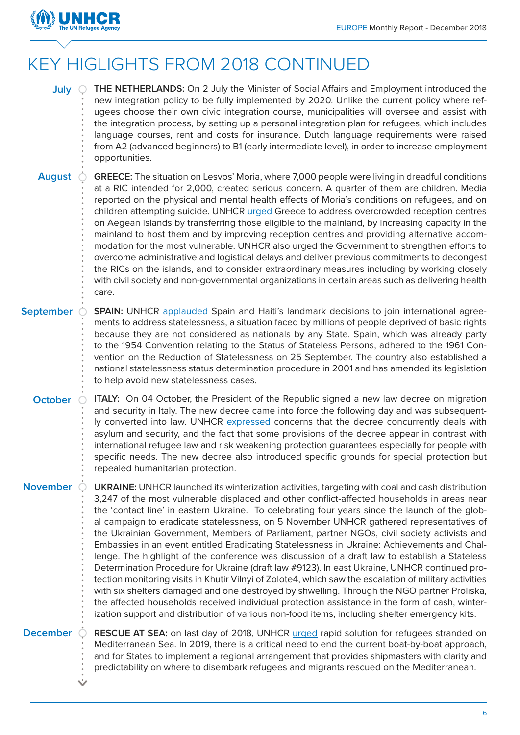

#### KEY HIGLIGHTS FROM 2018 CONTINUED

| July             | THE NETHERLANDS: On 2 July the Minister of Social Affairs and Employment introduced the<br>new integration policy to be fully implemented by 2020. Unlike the current policy where ref-<br>ugees choose their own civic integration course, municipalities will oversee and assist with<br>the integration process, by setting up a personal integration plan for refugees, which includes<br>language courses, rent and costs for insurance. Dutch language requirements were raised<br>from A2 (advanced beginners) to B1 (early intermediate level), in order to increase employment<br>opportunities.                                                                                                                                                                                                                                                                                                                                                                                                                                                                                                                                                                                                    |
|------------------|--------------------------------------------------------------------------------------------------------------------------------------------------------------------------------------------------------------------------------------------------------------------------------------------------------------------------------------------------------------------------------------------------------------------------------------------------------------------------------------------------------------------------------------------------------------------------------------------------------------------------------------------------------------------------------------------------------------------------------------------------------------------------------------------------------------------------------------------------------------------------------------------------------------------------------------------------------------------------------------------------------------------------------------------------------------------------------------------------------------------------------------------------------------------------------------------------------------|
| <b>August</b>    | GREECE: The situation on Lesvos' Moria, where 7,000 people were living in dreadful conditions<br>at a RIC intended for 2,000, created serious concern. A quarter of them are children. Media<br>reported on the physical and mental health effects of Moria's conditions on refugees, and on<br>children attempting suicide. UNHCR urged Greece to address overcrowded reception centres<br>on Aegean islands by transferring those eligible to the mainland, by increasing capacity in the<br>mainland to host them and by improving reception centres and providing alternative accom-<br>modation for the most vulnerable. UNHCR also urged the Government to strengthen efforts to<br>overcome administrative and logistical delays and deliver previous commitments to decongest<br>the RICs on the islands, and to consider extraordinary measures including by working closely<br>with civil society and non-governmental organizations in certain areas such as delivering health<br>care.                                                                                                                                                                                                           |
| <b>September</b> | <b>SPAIN:</b> UNHCR applauded Spain and Haiti's landmark decisions to join international agree-<br>ments to address statelessness, a situation faced by millions of people deprived of basic rights<br>because they are not considered as nationals by any State. Spain, which was already party<br>to the 1954 Convention relating to the Status of Stateless Persons, adhered to the 1961 Con-<br>vention on the Reduction of Statelessness on 25 September. The country also established a<br>national statelessness status determination procedure in 2001 and has amended its legislation<br>to help avoid new statelessness cases.                                                                                                                                                                                                                                                                                                                                                                                                                                                                                                                                                                     |
| <b>October</b>   | ITALY: On 04 October, the President of the Republic signed a new law decree on migration<br>and security in Italy. The new decree came into force the following day and was subsequent-<br>ly converted into law. UNHCR expressed concerns that the decree concurrently deals with<br>asylum and security, and the fact that some provisions of the decree appear in contrast with<br>international refugee law and risk weakening protection guarantees especially for people with<br>specific needs. The new decree also introduced specific grounds for special protection but<br>repealed humanitarian protection.                                                                                                                                                                                                                                                                                                                                                                                                                                                                                                                                                                                       |
| <b>November</b>  | <b>UKRAINE:</b> UNHCR launched its winterization activities, targeting with coal and cash distribution<br>3,247 of the most vulnerable displaced and other conflict-affected households in areas near<br>the 'contact line' in eastern Ukraine. To celebrating four years since the launch of the glob-<br>al campaign to eradicate statelessness, on 5 November UNHCR gathered representatives of<br>the Ukrainian Government, Members of Parliament, partner NGOs, civil society activists and<br>Embassies in an event entitled Eradicating Statelessness in Ukraine: Achievements and Chal-<br>lenge. The highlight of the conference was discussion of a draft law to establish a Stateless<br>Determination Procedure for Ukraine (draft law #9123). In east Ukraine, UNHCR continued pro-<br>tection monitoring visits in Khutir Vilnyi of Zolote4, which saw the escalation of military activities<br>with six shelters damaged and one destroyed by shwelling. Through the NGO partner Proliska,<br>the affected households received individual protection assistance in the form of cash, winter-<br>ization support and distribution of various non-food items, including shelter emergency kits. |
| <b>December</b>  | RESCUE AT SEA: on last day of 2018, UNHCR urged rapid solution for refugees stranded on<br>Mediterranean Sea. In 2019, there is a critical need to end the current boat-by-boat approach,<br>and for States to implement a regional arrangement that provides shipmasters with clarity and<br>predictability on where to disembark refugees and migrants rescued on the Mediterranean.                                                                                                                                                                                                                                                                                                                                                                                                                                                                                                                                                                                                                                                                                                                                                                                                                       |

 $\ddot{\sim}$